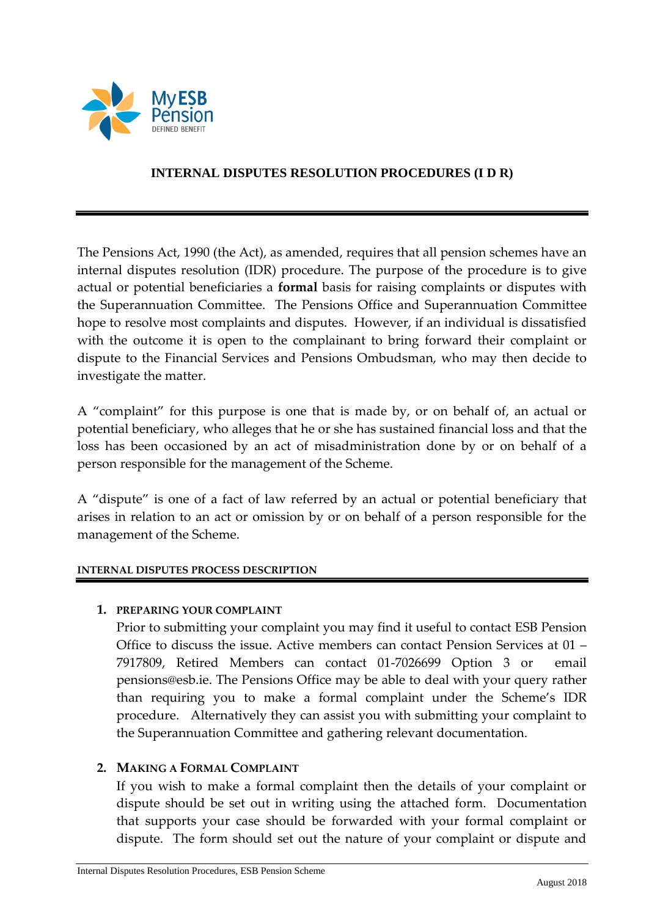

## **INTERNAL DISPUTES RESOLUTION PROCEDURES (I D R)**

The Pensions Act, 1990 (the Act), as amended, requires that all pension schemes have an internal disputes resolution (IDR) procedure. The purpose of the procedure is to give actual or potential beneficiaries a **formal** basis for raising complaints or disputes with the Superannuation Committee. The Pensions Office and Superannuation Committee hope to resolve most complaints and disputes. However, if an individual is dissatisfied with the outcome it is open to the complainant to bring forward their complaint or dispute to the Financial Services and Pensions Ombudsman, who may then decide to investigate the matter.

A "complaint" for this purpose is one that is made by, or on behalf of, an actual or potential beneficiary, who alleges that he or she has sustained financial loss and that the loss has been occasioned by an act of misadministration done by or on behalf of a person responsible for the management of the Scheme.

A "dispute" is one of a fact of law referred by an actual or potential beneficiary that arises in relation to an act or omission by or on behalf of a person responsible for the management of the Scheme.

#### **INTERNAL DISPUTES PROCESS DESCRIPTION**

#### **1. PREPARING YOUR COMPLAINT**

Prior to submitting your complaint you may find it useful to contact ESB Pension Office to discuss the issue. Active members can contact Pension Services at 01 – 7917809, Retired Members can contact 01-7026699 Option 3 or email pensions@esb.ie. The Pensions Office may be able to deal with your query rather than requiring you to make a formal complaint under the Scheme's IDR procedure. Alternatively they can assist you with submitting your complaint to the Superannuation Committee and gathering relevant documentation.

#### **2. MAKING A FORMAL COMPLAINT**

If you wish to make a formal complaint then the details of your complaint or dispute should be set out in writing using the attached form. Documentation that supports your case should be forwarded with your formal complaint or dispute. The form should set out the nature of your complaint or dispute and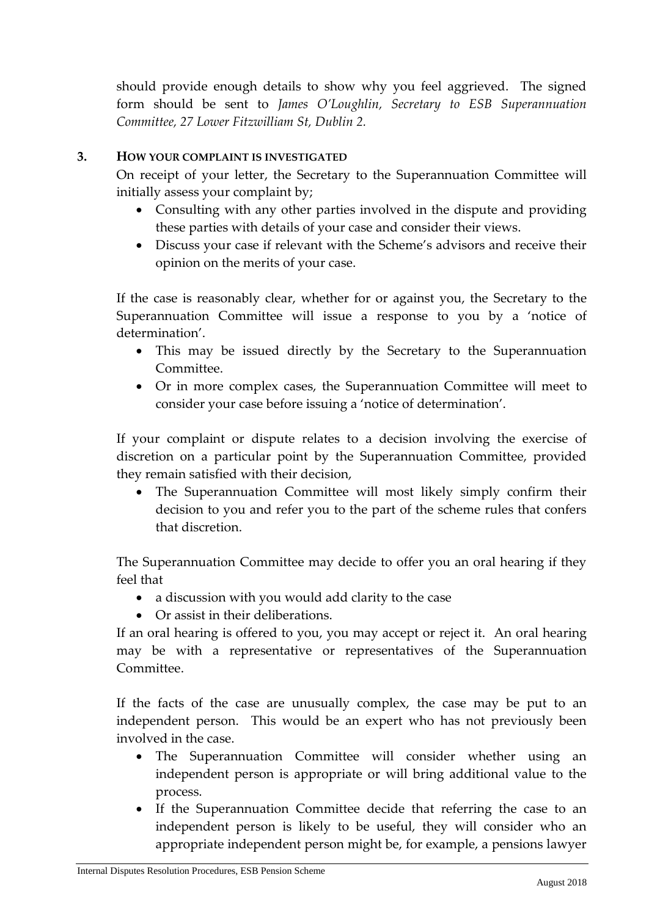should provide enough details to show why you feel aggrieved. The signed form should be sent to *James O'Loughlin, Secretary to ESB Superannuation Committee, 27 Lower Fitzwilliam St, Dublin 2.*

## **3. HOW YOUR COMPLAINT IS INVESTIGATED**

On receipt of your letter, the Secretary to the Superannuation Committee will initially assess your complaint by;

- Consulting with any other parties involved in the dispute and providing these parties with details of your case and consider their views.
- Discuss your case if relevant with the Scheme's advisors and receive their opinion on the merits of your case.

If the case is reasonably clear, whether for or against you, the Secretary to the Superannuation Committee will issue a response to you by a 'notice of determination'.

- This may be issued directly by the Secretary to the Superannuation Committee.
- Or in more complex cases, the Superannuation Committee will meet to consider your case before issuing a 'notice of determination'.

If your complaint or dispute relates to a decision involving the exercise of discretion on a particular point by the Superannuation Committee, provided they remain satisfied with their decision,

 The Superannuation Committee will most likely simply confirm their decision to you and refer you to the part of the scheme rules that confers that discretion.

The Superannuation Committee may decide to offer you an oral hearing if they feel that

- a discussion with you would add clarity to the case
- Or assist in their deliberations.

If an oral hearing is offered to you, you may accept or reject it. An oral hearing may be with a representative or representatives of the Superannuation Committee.

If the facts of the case are unusually complex, the case may be put to an independent person. This would be an expert who has not previously been involved in the case.

- The Superannuation Committee will consider whether using an independent person is appropriate or will bring additional value to the process.
- If the Superannuation Committee decide that referring the case to an independent person is likely to be useful, they will consider who an appropriate independent person might be, for example, a pensions lawyer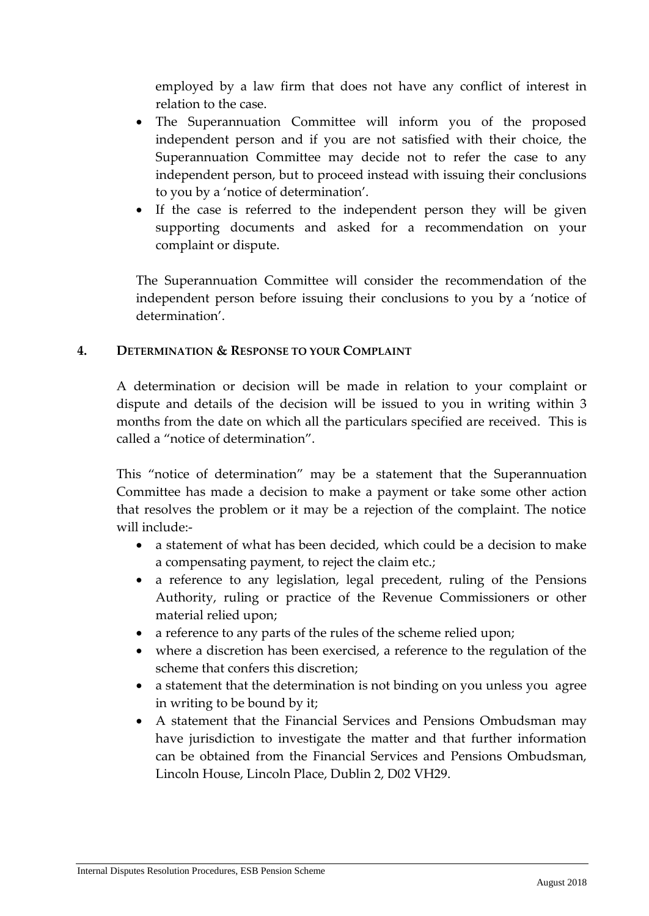employed by a law firm that does not have any conflict of interest in relation to the case.

- The Superannuation Committee will inform you of the proposed independent person and if you are not satisfied with their choice, the Superannuation Committee may decide not to refer the case to any independent person, but to proceed instead with issuing their conclusions to you by a 'notice of determination'.
- If the case is referred to the independent person they will be given supporting documents and asked for a recommendation on your complaint or dispute.

The Superannuation Committee will consider the recommendation of the independent person before issuing their conclusions to you by a 'notice of determination'.

### **4. DETERMINATION & RESPONSE TO YOUR COMPLAINT**

A determination or decision will be made in relation to your complaint or dispute and details of the decision will be issued to you in writing within 3 months from the date on which all the particulars specified are received. This is called a "notice of determination".

This "notice of determination" may be a statement that the Superannuation Committee has made a decision to make a payment or take some other action that resolves the problem or it may be a rejection of the complaint. The notice will include:-

- a statement of what has been decided, which could be a decision to make a compensating payment, to reject the claim etc.;
- a reference to any legislation, legal precedent, ruling of the Pensions Authority, ruling or practice of the Revenue Commissioners or other material relied upon;
- a reference to any parts of the rules of the scheme relied upon;
- where a discretion has been exercised, a reference to the regulation of the scheme that confers this discretion;
- a statement that the determination is not binding on you unless you agree in writing to be bound by it;
- A statement that the Financial Services and Pensions Ombudsman may have jurisdiction to investigate the matter and that further information can be obtained from the Financial Services and Pensions Ombudsman, Lincoln House, Lincoln Place, Dublin 2, D02 VH29.